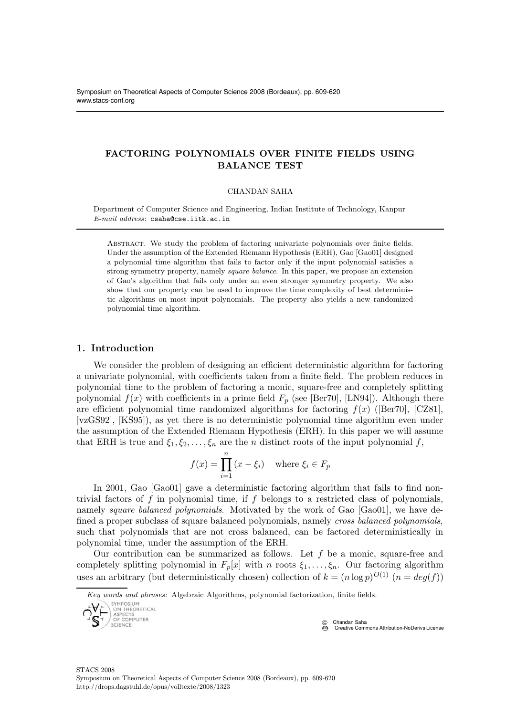# FACTORING POLYNOMIALS OVER FINITE FIELDS USING BALANCE TEST

#### CHANDAN SAHA

Department of Computer Science and Engineering, Indian Institute of Technology, Kanpur E-mail address: csaha@cse.iitk.ac.in

ABSTRACT. We study the problem of factoring univariate polynomials over finite fields. Under the assumption of the Extended Riemann Hypothesis (ERH), Gao [Gao01] designed a polynomial time algorithm that fails to factor only if the input polynomial satisfies a strong symmetry property, namely square balance. In this paper, we propose an extension of Gao's algorithm that fails only under an even stronger symmetry property. We also show that our property can be used to improve the time complexity of best deterministic algorithms on most input polynomials. The property also yields a new randomized polynomial time algorithm.

# 1. Introduction

We consider the problem of designing an efficient deterministic algorithm for factoring a univariate polynomial, with coefficients taken from a finite field. The problem reduces in polynomial time to the problem of factoring a monic, square-free and completely splitting polynomial  $f(x)$  with coefficients in a prime field  $F_p$  (see [Ber70], [LN94]). Although there are efficient polynomial time randomized algorithms for factoring  $f(x)$  ([Ber70], [CZ81], [vzGS92], [KS95]), as yet there is no deterministic polynomial time algorithm even under the assumption of the Extended Riemann Hypothesis (ERH). In this paper we will assume that ERH is true and  $\xi_1, \xi_2, \ldots, \xi_n$  are the *n* distinct roots of the input polynomial f,

$$
f(x) = \prod_{i=1}^{n} (x - \xi_i) \quad \text{where } \xi_i \in F_p
$$

In 2001, Gao [Gao01] gave a deterministic factoring algorithm that fails to find nontrivial factors of  $f$  in polynomial time, if  $f$  belongs to a restricted class of polynomials, namely *square balanced polynomials*. Motivated by the work of Gao [Gao01], we have defined a proper subclass of square balanced polynomials, namely cross balanced polynomials, such that polynomials that are not cross balanced, can be factored deterministically in polynomial time, under the assumption of the ERH.

Our contribution can be summarized as follows. Let  $f$  be a monic, square-free and completely splitting polynomial in  $F_p[x]$  with n roots  $\xi_1, \ldots, \xi_n$ . Our factoring algorithm uses an arbitrary (but deterministically chosen) collection of  $k = (n \log p)^{O(1)}$   $(n = deg(f))$ 

Key words and phrases: Algebraic Algorithms, polynomial factorization, finite fields.



C Chandan Saha<br>
<sup>C</sup> Creative C **Creative Commons Attribution-NoDerivs License**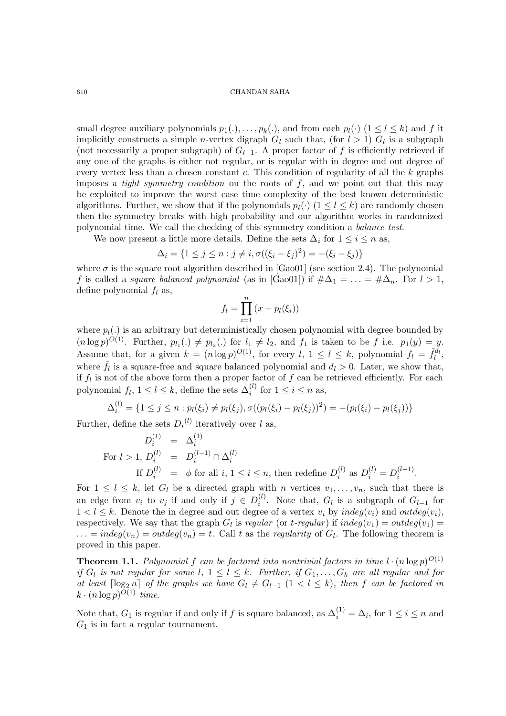small degree auxiliary polynomials  $p_1(.), \ldots, p_k(.)$ , and from each  $p_l(\cdot)$   $(1 \leq l \leq k)$  and f it implicitly constructs a simple *n*-vertex digraph  $G_l$  such that, (for  $l > 1$ )  $G_l$  is a subgraph (not necessarily a proper subgraph) of  $G_{l-1}$ . A proper factor of f is efficiently retrieved if any one of the graphs is either not regular, or is regular with in degree and out degree of every vertex less than a chosen constant c. This condition of regularity of all the  $k$  graphs imposes a *tight symmetry condition* on the roots of  $f$ , and we point out that this may be exploited to improve the worst case time complexity of the best known deterministic algorithms. Further, we show that if the polynomials  $p_l(\cdot)$   $(1 \leq l \leq k)$  are randomly chosen then the symmetry breaks with high probability and our algorithm works in randomized polynomial time. We call the checking of this symmetry condition a balance test.

We now present a little more details. Define the sets  $\Delta_i$  for  $1 \leq i \leq n$  as,

$$
\Delta_i = \{1 \le j \le n : j \ne i, \sigma((\xi_i - \xi_j)^2) = -(\xi_i - \xi_j)\}
$$

where  $\sigma$  is the square root algorithm described in [Gao01] (see section 2.4). The polynomial f is called a square balanced polynomial (as in [Gao01]) if  $\#\Delta_1 = \ldots = \#\Delta_n$ . For  $l > 1$ , define polynomial  $f_l$  as,

$$
f_l = \prod_{i=1}^n (x - p_l(\xi_i))
$$

where  $p_l(.)$  is an arbitrary but deterministically chosen polynomial with degree bounded by  $(n \log p)^{O(1)}$ . Further,  $p_{l_1}(\cdot) \neq p_{l_2}(\cdot)$  for  $l_1 \neq l_2$ , and  $f_1$  is taken to be f i.e.  $p_1(y) = y$ . Assume that, for a given  $k = (n \log p)^{O(1)}$ , for every  $l, 1 \le l \le k$ , polynomial  $f_l = \tilde{f}_l^{d_l}$ , where  $\tilde{f}_l$  is a square-free and square balanced polynomial and  $d_l > 0$ . Later, we show that, if  $f_l$  is not of the above form then a proper factor of  $f$  can be retrieved efficiently. For each polynomial  $f_l$ ,  $1 \leq l \leq k$ , define the sets  $\Delta_i^{(l)}$  for  $1 \leq i \leq n$  as,

$$
\Delta_i^{(l)} = \{1 \le j \le n : p_l(\xi_i) \ne p_l(\xi_j), \sigma((p_l(\xi_i) - p_l(\xi_j))^2) = -(p_l(\xi_i) - p_l(\xi_j))\}
$$

Further, define the sets  $D_i^{(l)}$  iteratively over l as,

$$
D_i^{(1)} = \Delta_i^{(1)}
$$
  
For  $l > 1$ ,  $D_i^{(l)} = D_i^{(l-1)} \cap \Delta_i^{(l)}$   
If  $D_i^{(l)} = \phi$  for all  $i, 1 \le i \le n$ , then redefine  $D_i^{(l)}$  as  $D_i^{(l)} = D_i^{(l-1)}$ .

For  $1 \leq l \leq k$ , let  $G_l$  be a directed graph with n vertices  $v_1, \ldots, v_n$ , such that there is an edge from  $v_i$  to  $v_j$  if and only if  $j \in D_i^{(l)}$  $i<sup>(i)</sup>$ . Note that,  $G_l$  is a subgraph of  $G_{l-1}$  for  $1 < l \le k$ . Denote the in degree and out degree of a vertex  $v_i$  by  $indeg(v_i)$  and  $outdeg(v_i)$ , respectively. We say that the graph  $G_l$  is regular (or t-regular) if  $indeg(v_1) = outdeg(v_1) =$  $\ldots = indeg(v_n) = outdeg(v_n) = t$ . Call t as the regularity of  $G_l$ . The following theorem is proved in this paper.

**Theorem 1.1.** Polynomial f can be factored into nontrivial factors in time  $l \cdot (n \log p)^{O(1)}$ if  $G_l$  is not regular for some  $l, 1 \leq l \leq k$ . Further, if  $G_1, \ldots, G_k$  are all regular and for at least  $\lceil \log_2 n \rceil$  of the graphs we have  $G_l \neq G_{l-1}$   $(1 \lt l \leq k)$ , then f can be factored in  $k \cdot (n \log p)^{O(1)}$  time.

Note that,  $G_1$  is regular if and only if f is square balanced, as  $\Delta_i^{(1)} = \Delta_i$ , for  $1 \le i \le n$  and  $G_1$  is in fact a regular tournament.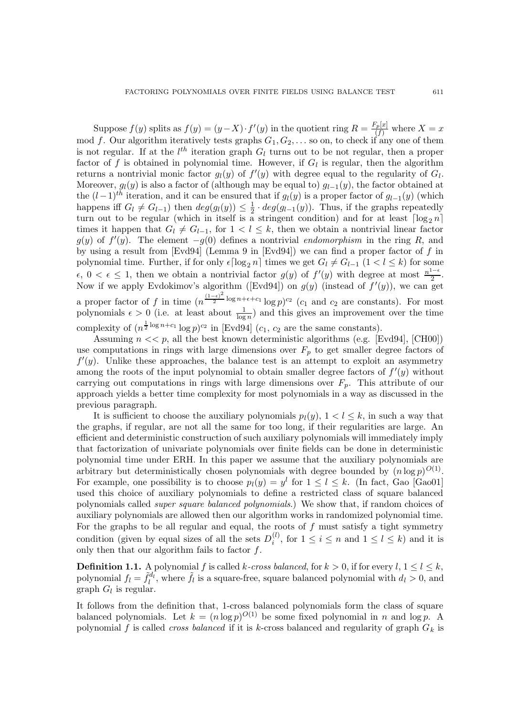Suppose  $f(y)$  splits as  $f(y) = (y - X) \cdot f'(y)$  in the quotient ring  $R = \frac{F_p[x]}{(f)}$  where  $X = x$ mod f. Our algorithm iteratively tests graphs  $G_1, G_2, \ldots$  so on, to check if any one of them is not regular. If at the  $l^{th}$  iteration graph  $G_l$  turns out to be not regular, then a proper factor of f is obtained in polynomial time. However, if  $G_l$  is regular, then the algorithm returns a nontrivial monic factor  $g_l(y)$  of  $f'(y)$  with degree equal to the regularity of  $G_l$ . Moreover,  $g_l(y)$  is also a factor of (although may be equal to)  $g_{l-1}(y)$ , the factor obtained at the  $(l-1)$ <sup>th</sup> iteration, and it can be ensured that if  $g_l(y)$  is a proper factor of  $g_{l-1}(y)$  (which happens iff  $G_l \neq G_{l-1}$ ) then  $deg(g_l(y)) \leq \frac{1}{2}$  $\frac{1}{2} \cdot deg(g_{l-1}(y))$ . Thus, if the graphs repeatedly turn out to be regular (which in itself is a stringent condition) and for at least  $\lceil \log_2 n \rceil$ times it happen that  $G_l \neq G_{l-1}$ , for  $1 < l \leq k$ , then we obtain a nontrivial linear factor  $g(y)$  of  $f'(y)$ . The element  $-g(0)$  defines a nontrivial endomorphism in the ring R, and by using a result from [Evd94] (Lemma 9 in [Evd94]) we can find a proper factor of f in polynomial time. Further, if for only  $\epsilon \lceil \log_2 n \rceil$  times we get  $G_l \neq G_{l-1}$   $(1 < l \leq k)$  for some  $\epsilon, 0 < \epsilon \leq 1$ , then we obtain a nontrivial factor  $g(y)$  of  $f'(y)$  with degree at most  $\frac{n^{1-\epsilon}}{2}$  $\frac{1}{2}$ . Now if we apply Evdokimov's algorithm ([Evd94]) on  $g(y)$  (instead of  $f'(y)$ ), we can get a proper factor of f in time  $(n^{\frac{(1-\epsilon)^2}{2}})$  $\frac{c_1}{2}$  log  $n+\epsilon+c_1$  log  $p$ <sup>c<sub>2</sub></sup> (c<sub>1</sub> and c<sub>2</sub> are constants). For most polynomials  $\epsilon > 0$  (i.e. at least about  $\frac{1}{\log n}$ ) and this gives an improvement over the time complexity of  $(n^{\frac{1}{2}\log n + c_1} \log p)^{c_2}$  in [Evd94]  $(c_1, c_2$  are the same constants).

Assuming  $n \ll p$ , all the best known deterministic algorithms (e.g. [Evd94], [CH00]) use computations in rings with large dimensions over  $F_p$  to get smaller degree factors of  $f'(y)$ . Unlike these approaches, the balance test is an attempt to exploit an asymmetry among the roots of the input polynomial to obtain smaller degree factors of  $f'(y)$  without carrying out computations in rings with large dimensions over  $F_p$ . This attribute of our approach yields a better time complexity for most polynomials in a way as discussed in the previous paragraph.

It is sufficient to choose the auxiliary polynomials  $p_l(y)$ ,  $1 < l \leq k$ , in such a way that the graphs, if regular, are not all the same for too long, if their regularities are large. An efficient and deterministic construction of such auxiliary polynomials will immediately imply that factorization of univariate polynomials over finite fields can be done in deterministic polynomial time under ERH. In this paper we assume that the auxiliary polynomials are arbitrary but deterministically chosen polynomials with degree bounded by  $(n \log p)^{O(1)}$ . For example, one possibility is to choose  $p_l(y) = y^l$  for  $1 \le l \le k$ . (In fact, Gao [Gao01] used this choice of auxiliary polynomials to define a restricted class of square balanced polynomials called super square balanced polynomials.) We show that, if random choices of auxiliary polynomials are allowed then our algorithm works in randomized polynomial time. For the graphs to be all regular and equal, the roots of  $f$  must satisfy a tight symmetry condition (given by equal sizes of all the sets  $D_i^{(l)}$  $i<sup>i</sup>$ , for  $1 \leq i \leq n$  and  $1 \leq l \leq k$ ) and it is only then that our algorithm fails to factor  $f$ .

**Definition 1.1.** A polynomial f is called k-cross balanced, for  $k > 0$ , if for every  $l, 1 \leq l \leq k$ , polynomial  $f_l = \tilde{f}_l^{d_l}$ , where  $\tilde{f}_l$  is a square-free, square balanced polynomial with  $d_l > 0$ , and graph  $G_l$  is regular.

It follows from the definition that, 1-cross balanced polynomials form the class of square balanced polynomials. Let  $k = (n \log p)^{O(1)}$  be some fixed polynomial in n and log p. A polynomial f is called *cross balanced* if it is k-cross balanced and regularity of graph  $G_k$  is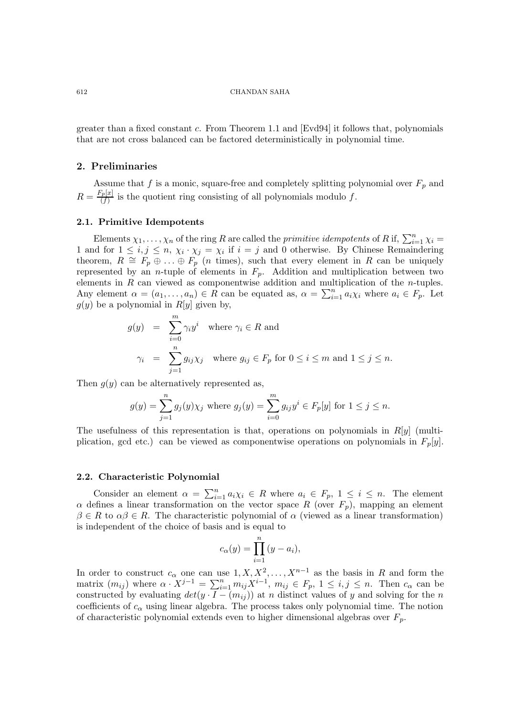greater than a fixed constant c. From Theorem 1.1 and  $\text{[Evd94]}$  it follows that, polynomials that are not cross balanced can be factored deterministically in polynomial time.

## 2. Preliminaries

Assume that f is a monic, square-free and completely splitting polynomial over  $F_p$  and  $R = \frac{F_p[x]}{(f)}$  $\frac{f(p[1])}{(f)}$  is the quotient ring consisting of all polynomials modulo f.

## 2.1. Primitive Idempotents

Elements  $\chi_1, \ldots, \chi_n$  of the ring R are called the *primitive idempotents* of R if,  $\sum_{i=1}^n \chi_i =$ 1 and for  $1 \le i, j \le n, \chi_i \cdot \chi_j = \chi_i$  if  $i = j$  and 0 otherwise. By Chinese Remaindering theorem,  $R \cong F_p \oplus \ldots \oplus F_p$  (*n* times), such that every element in R can be uniquely represented by an *n*-tuple of elements in  $F_p$ . Addition and multiplication between two elements in R can viewed as componentwise addition and multiplication of the n-tuples. Any element  $\alpha = (a_1, \ldots, a_n) \in R$  can be equated as,  $\alpha = \sum_{i=1}^n a_i \chi_i$  where  $a_i \in F_p$ . Let  $g(y)$  be a polynomial in  $R[y]$  given by,

$$
g(y) = \sum_{i=0}^{m} \gamma_i y^i \text{ where } \gamma_i \in R \text{ and}
$$
  

$$
\gamma_i = \sum_{j=1}^{n} g_{ij} \chi_j \text{ where } g_{ij} \in F_p \text{ for } 0 \le i \le m \text{ and } 1 \le j \le n.
$$

Then  $q(y)$  can be alternatively represented as,

$$
g(y) = \sum_{j=1}^{n} g_j(y)\chi_j
$$
 where  $g_j(y) = \sum_{i=0}^{m} g_{ij}y^i \in F_p[y]$  for  $1 \le j \le n$ .

The usefulness of this representation is that, operations on polynomials in  $R[y]$  (multiplication, gcd etc.) can be viewed as componentwise operations on polynomials in  $F_p[y]$ .

#### 2.2. Characteristic Polynomial

Consider an element  $\alpha = \sum_{i=1}^n a_i \chi_i \in R$  where  $a_i \in F_p$ ,  $1 \leq i \leq n$ . The element  $\alpha$  defines a linear transformation on the vector space R (over  $F_p$ ), mapping an element  $\beta \in R$  to  $\alpha\beta \in R$ . The characteristic polynomial of  $\alpha$  (viewed as a linear transformation) is independent of the choice of basis and is equal to

$$
c_{\alpha}(y) = \prod_{i=1}^{n} (y - a_i),
$$

In order to construct  $c_{\alpha}$  one can use  $1, X, X^2, \ldots, X^{n-1}$  as the basis in R and form the matrix  $(m_{ij})$  where  $\alpha \cdot X^{j-1} = \sum_{i=1}^n m_{ij} X^{i-1}$ ,  $m_{ij} \in F_p$ ,  $1 \le i, j \le n$ . Then  $c_{\alpha}$  can be constructed by evaluating  $det(y \cdot I - (m_{ij}))$  at n distinct values of y and solving for the n coefficients of  $c_{\alpha}$  using linear algebra. The process takes only polynomial time. The notion of characteristic polynomial extends even to higher dimensional algebras over  $F_p$ .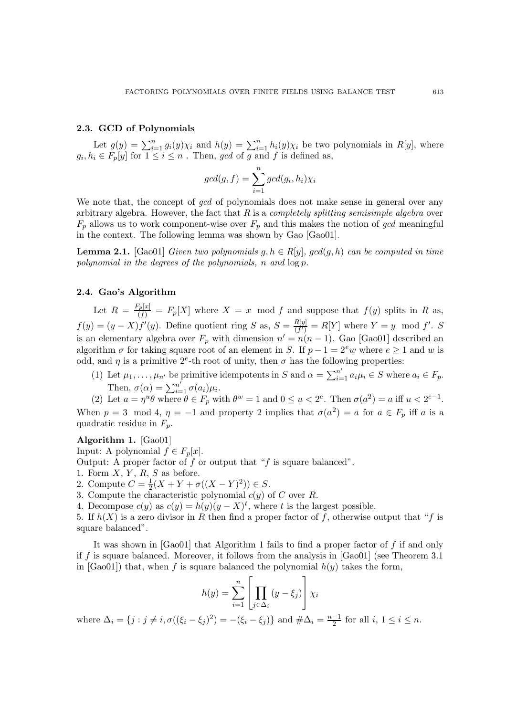# 2.3. GCD of Polynomials

Let  $g(y) = \sum_{i=1}^n g_i(y)\chi_i$  and  $h(y) = \sum_{i=1}^n h_i(y)\chi_i$  be two polynomials in  $R[y]$ , where  $g_i, h_i \in F_p[y]$  for  $1 \leq i \leq n$ . Then, gcd of g and f is defined as,

$$
gcd(g, f) = \sum_{i=1}^{n} gcd(g_i, h_i)\chi_i
$$

We note that, the concept of *gcd* of polynomials does not make sense in general over any arbitrary algebra. However, the fact that  $R$  is a *completely splitting semisimple algebra* over  $F_p$  allows us to work component-wise over  $F_p$  and this makes the notion of gcd meaningful in the context. The following lemma was shown by Gao [Gao01].

**Lemma 2.1.** [Gao01] Given two polynomials  $q, h \in R[y]$ ,  $gcd(q, h)$  can be computed in time polynomial in the degrees of the polynomials, n and log p.

# 2.4. Gao's Algorithm

Let  $R = \frac{F_p[x]}{(f)} = F_p[X]$  where  $X = x \mod f$  and suppose that  $f(y)$  splits in R as,  $f(y) = (y - X) f'(y)$ . Define quotient ring S as,  $S = \frac{R[y]}{(f)}$  $\frac{R[y]}{(f')} = R[Y]$  where  $Y = y \mod f'$ . S is an elementary algebra over  $F_p$  with dimension  $n' = n(n-1)$ . Gao [Gao01] described an algorithm  $\sigma$  for taking square root of an element in S. If  $p - 1 = 2^e w$  where  $e \ge 1$  and w is odd, and  $\eta$  is a primitive  $2^e$ -th root of unity, then  $\sigma$  has the following properties:

(1) Let  $\mu_1, \ldots, \mu_{n'}$  be primitive idempotents in S and  $\alpha = \sum_{i=1}^{n'} a_i \mu_i \in S$  where  $a_i \in F_p$ . Then,  $\sigma(\alpha) = \sum_{i=1}^{n'} \sigma(a_i) \mu_i$ .

(2) Let  $a = \eta^u \theta$  where  $\theta \in F_p$  with  $\theta^w = 1$  and  $0 \le u < 2^e$ . Then  $\sigma(a^2) = a$  iff  $u < 2^{e-1}$ . When  $p = 3 \mod 4$ ,  $\eta = -1$  and property 2 implies that  $\sigma(a^2) = a$  for  $a \in F_p$  iff a is a quadratic residue in  $F_p$ .

Algorithm 1. [Gao01] Input: A polynomial  $f \in F_n[x]$ .

Output: A proper factor of  $f$  or output that " $f$  is square balanced".

1. Form  $X, Y, R, S$  as before.

2. Compute  $C=\frac{1}{2}$  $\frac{1}{2}(X+Y+\sigma((X-Y)^2)) \in S.$ 

3. Compute the characteristic polynomial  $c(y)$  of C over R.

4. Decompose  $c(y)$  as  $c(y) = h(y)(y - X)^t$ , where t is the largest possible.

5. If  $h(X)$  is a zero divisor in R then find a proper factor of f, otherwise output that "f is square balanced".

It was shown in [Gao01] that Algorithm 1 fails to find a proper factor of f if and only if f is square balanced. Moreover, it follows from the analysis in  $[Ga001]$  (see Theorem 3.1) in [Gao01]) that, when f is square balanced the polynomial  $h(y)$  takes the form,

$$
h(y) = \sum_{i=1}^{n} \left[ \prod_{j \in \Delta_i} (y - \xi_j) \right] \chi_i
$$

where  $\Delta_i = \{j : j \neq i, \sigma((\xi_i - \xi_j)^2) = -(\xi_i - \xi_j)\}\$  and  $\#\Delta_i = \frac{n-1}{2}$  $\frac{-1}{2}$  for all  $i, 1 \leq i \leq n$ .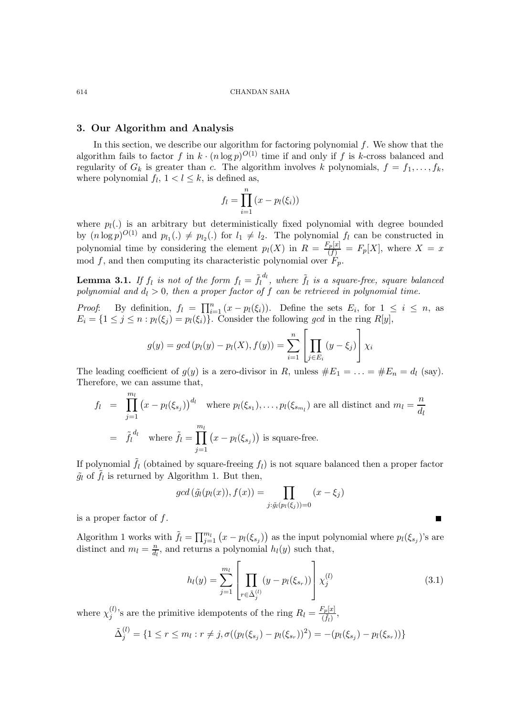# 3. Our Algorithm and Analysis

In this section, we describe our algorithm for factoring polynomial f. We show that the algorithm fails to factor f in  $k \cdot (n \log p)^{O(1)}$  time if and only if f is k-cross balanced and regularity of  $G_k$  is greater than c. The algorithm involves k polynomials,  $f = f_1, \ldots, f_k$ , where polynomial  $f_l$ ,  $1 < l \leq k$ , is defined as,

$$
f_l = \prod_{i=1}^n (x - p_l(\xi_i))
$$

where  $p_l(.)$  is an arbitrary but deterministically fixed polynomial with degree bounded by  $(n \log p)^{O(1)}$  and  $p_{l_1}(\cdot) \neq p_{l_2}(\cdot)$  for  $l_1 \neq l_2$ . The polynomial  $f_l$  can be constructed in polynomial time by considering the element  $p_l(X)$  in  $R = \frac{F_p[x]}{(f)} = F_p[X]$ , where  $X = x$ mod f, and then computing its characteristic polynomial over  $\check{F}_p$ .

**Lemma 3.1.** If  $f_l$  is not of the form  $f_l = \tilde{f_l}^{d_l}$ , where  $\tilde{f_l}$  is a square-free, square balanced polynomial and  $d_l > 0$ , then a proper factor of f can be retrieved in polynomial time.

*Proof*: By definition,  $f_l = \prod_{i=1}^n (x - p_l(\xi_i))$ . Define the sets  $E_i$ , for  $1 \leq i \leq n$ , as  $E_i = \{1 \leq j \leq n : p_l(\xi_j) = p_l(\xi_i)\}\.$  Consider the following gcd in the ring  $R[y]$ ,

$$
g(y) = gcd(p_l(y) - p_l(X), f(y)) = \sum_{i=1}^{n} \left[ \prod_{j \in E_i} (y - \xi_j) \right] \chi_i
$$

The leading coefficient of  $g(y)$  is a zero-divisor in R, unless  $\#E_1 = \ldots = \#E_n = d_l$  (say). Therefore, we can assume that,

$$
f_l = \prod_{j=1}^{m_l} (x - p_l(\xi_{s_j}))^{d_l} \text{ where } p_l(\xi_{s_1}), \dots, p_l(\xi_{s_{m_l}}) \text{ are all distinct and } m_l = \frac{n}{d_l}
$$
  
=  $\tilde{f}_l^{d_l}$  where  $\tilde{f}_l = \prod_{j=1}^{m_l} (x - p_l(\xi_{s_j}))$  is square-free.

If polynomial  $\tilde{f}_l$  (obtained by square-freeing  $f_l$ ) is not square balanced then a proper factor  $\tilde{g}_l$  of  $\tilde{f}_l$  is returned by Algorithm 1. But then,

$$
gcd\left(\tilde{g}_l(p_l(x)), f(x)\right) = \prod_{j:\tilde{g}_l(p_l(\xi_j))=0} (x-\xi_j)
$$

is a proper factor of f.

Algorithm 1 works with  $\tilde{f}_l = \prod_{j=1}^{m_l} (x - p_l(\xi_{s_j}))$  as the input polynomial where  $p_l(\xi_{s_j})$ 's are distinct and  $m_l = \frac{n}{d_l}$  $\frac{n}{d_l}$ , and returns a polynomial  $h_l(y)$  such that,

$$
h_l(y) = \sum_{j=1}^{m_l} \left[ \prod_{r \in \tilde{\Delta}_j^{(l)}} (y - p_l(\xi_{s_r})) \right] \chi_j^{(l)} \tag{3.1}
$$

where  $\chi_i^{(l)}$  $j^{(l)}$ 's are the primitive idempotents of the ring  $R_l = \frac{F_p[x]}{(\tilde{t}_l)}$  $\frac{\Gamma p[\mathcal{X}]}{(\tilde{f}_l)},$ 

$$
\tilde{\Delta}_{j}^{(l)} = \{1 \leq r \leq m_{l} : r \neq j, \sigma((p_{l}(\xi_{s_{j}}) - p_{l}(\xi_{s_{r}}))^{2}) = -(p_{l}(\xi_{s_{j}}) - p_{l}(\xi_{s_{r}}))\}
$$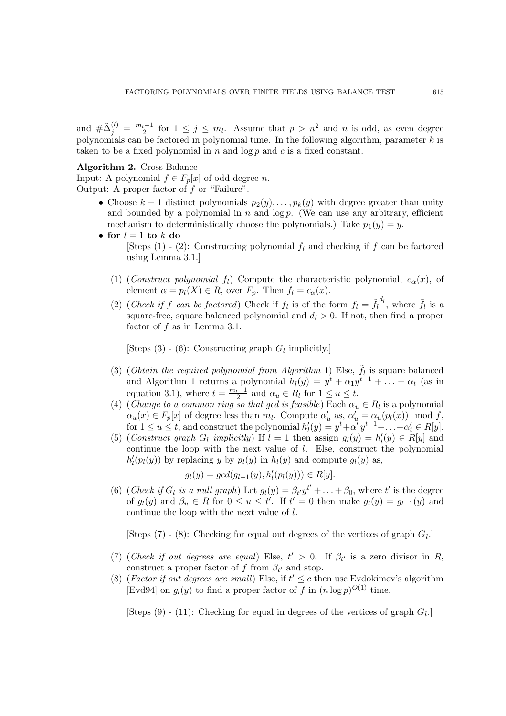and  $\#\tilde{\Delta}_{j}^{(l)} = \frac{m_l-1}{2}$  for  $1 \leq j \leq m_l$ . Assume that  $p > n^2$  and n is odd, as even degree polynomials can be factored in polynomial time. In the following algorithm, parameter  $k$  is taken to be a fixed polynomial in  $n$  and  $\log p$  and  $c$  is a fixed constant.

# Algorithm 2. Cross Balance

Input: A polynomial  $f \in F_p[x]$  of odd degree *n*. Output: A proper factor of  $f$  or "Failure".

- Choose  $k-1$  distinct polynomials  $p_2(y), \ldots, p_k(y)$  with degree greater than unity and bounded by a polynomial in  $n$  and  $\log p$ . (We can use any arbitrary, efficient mechanism to deterministically choose the polynomials.) Take  $p_1(y) = y$ .
- for  $l = 1$  to  $k$  do [Steps (1) - (2): Constructing polynomial  $f_l$  and checking if f can be factored using Lemma 3.1.]
	- (1) (Construct polynomial f<sub>l</sub>) Compute the characteristic polynomial,  $c_{\alpha}(x)$ , of element  $\alpha = p_l(X) \in R$ , over  $F_p$ . Then  $f_l = c_\alpha(x)$ .
	- (2) (Check if f can be factored) Check if  $f_l$  is of the form  $f_l = \tilde{f}_l^{d_l}$ , where  $\tilde{f}_l$  is a square-free, square balanced polynomial and  $d_l > 0$ . If not, then find a proper factor of  $f$  as in Lemma 3.1.

[Steps (3) - (6): Constructing graph  $G_l$  implicitly.]

- (3) (Obtain the required polynomial from Algorithm 1) Else,  $\tilde{f}_l$  is square balanced and Algorithm 1 returns a polynomial  $h_l(y) = y^t + \alpha_1 y^{t-1} + \ldots + \alpha_t$  (as in equation 3.1), where  $t = \frac{m_l - 1}{2}$  and  $\alpha_u \in R_l$  for  $1 \le u \le t$ .
- (4) (Change to a common ring so that gcd is feasible) Each  $\alpha_u \in R_l$  is a polynomial  $\alpha_u(x) \in F_p[x]$  of degree less than  $m_l$ . Compute  $\alpha'_u$  as,  $\alpha'_u = \alpha_u(p_l(x)) \mod f$ , for  $1 \le u \le t$ , and construct the polynomial  $h'_l(y) = y^t + \alpha'_1 y^{t-1} + \ldots + \alpha'_t \in R[y]$ .
- (5) (Construct graph  $G_l$  implicitly) If  $l = 1$  then assign  $g_l(y) = h'_l(y) \in R[y]$  and continue the loop with the next value of  $l$ . Else, construct the polynomial  $h'_l(p_l(y))$  by replacing y by  $p_l(y)$  in  $h_l(y)$  and compute  $g_l(y)$  as,

$$
g_l(y) = gcd(g_{l-1}(y), h'_l(p_l(y))) \in R[y].
$$

(6) (Check if  $G_l$  is a null graph) Let  $g_l(y) = \beta_{t'} y^{t'} + \ldots + \beta_0$ , where t' is the degree of  $g_l(y)$  and  $\beta_u \in R$  for  $0 \le u \le t'$ . If  $t' = 0$  then make  $g_l(y) = g_{l-1}(y)$  and continue the loop with the next value of l.

[Steps  $(7)$  -  $(8)$ : Checking for equal out degrees of the vertices of graph  $G_l$ .]

- (7) (Check if out degrees are equal) Else,  $t' > 0$ . If  $\beta_{t'}$  is a zero divisor in R, construct a proper factor of f from  $\beta_{t'}$  and stop.
- (8) (Factor if out degrees are small) Else, if  $t' \leq c$  then use Evdokimov's algorithm [Evd94] on  $g_l(y)$  to find a proper factor of f in  $(n \log p)^{O(1)}$  time.

[Steps  $(9)$  -  $(11)$ : Checking for equal in degrees of the vertices of graph  $G_l$ .]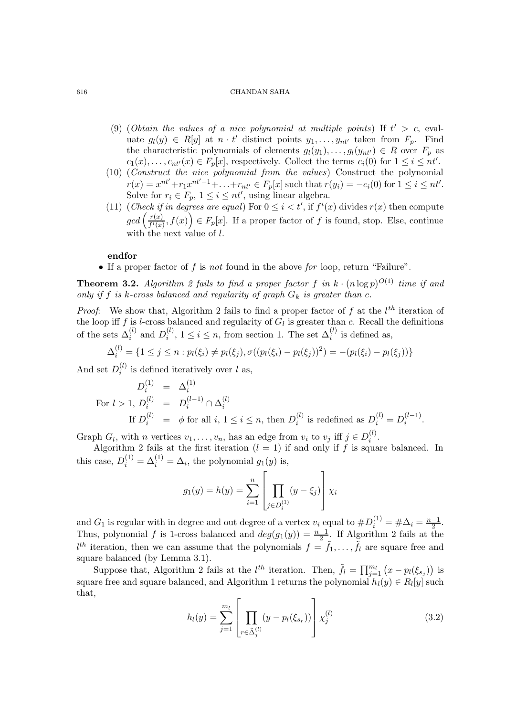- (9) (Obtain the values of a nice polynomial at multiple points) If  $t' > c$ , evaluate  $g_l(y) \in R[y]$  at  $n \cdot t'$  distinct points  $y_1, \ldots, y_{nt'}$  taken from  $F_p$ . Find the characteristic polynomials of elements  $g_l(y_1), \ldots, g_l(y_{nt'}) \in R$  over  $F_p$  as  $c_1(x), \ldots, c_{nt'}(x) \in F_p[x]$ , respectively. Collect the terms  $c_i(0)$  for  $1 \leq i \leq nt'.$
- (10) (Construct the nice polynomial from the values) Construct the polynomial  $r(x) = x^{nt'} + r_1 x^{nt'-1} + \ldots + r_{nt'} \in F_p[x]$  such that  $r(y_i) = -c_i(0)$  for  $1 \le i \le nt'.$ Solve for  $r_i \in F_p$ ,  $1 \leq i \leq nt'$ , using linear algebra.
- (11) (Check if in degrees are equal) For  $0 \leq i < t'$ , if  $f^i(x)$  divides  $r(x)$  then compute  $gcd\left(\frac{r(x)}{f^{i}(x)}\right)$  $\overline{f^i(x)}$ ,  $f(x)$   $\in$   $F_p[x]$ . If a proper factor of f is found, stop. Else, continue with the next value of  $l$ .

# endfor

• If a proper factor of  $f$  is not found in the above for loop, return "Failure".

**Theorem 3.2.** Algorithm 2 fails to find a proper factor f in  $k \cdot (n \log p)^{O(1)}$  time if and only if f is k-cross balanced and regularity of graph  $G_k$  is greater than c.

*Proof*: We show that, Algorithm 2 fails to find a proper factor of f at the  $l^{th}$  iteration of the loop iff f is l-cross balanced and regularity of  $G_l$  is greater than c. Recall the definitions of the sets  $\Delta_i^{(l)}$  and  $D_i^{(l)}$  $i_j^{(l)}$ ,  $1 \leq i \leq n$ , from section 1. The set  $\Delta_i^{(l)}$  is defined as,

$$
\Delta_i^{(l)} = \{1 \le j \le n : p_l(\xi_i) \neq p_l(\xi_j), \sigma((p_l(\xi_i) - p_l(\xi_j))^2) = -(p_l(\xi_i) - p_l(\xi_j))\}
$$

And set  $D_i^{(l)}$  $i^{(l)}$  is defined iteratively over l as,

$$
D_i^{(1)} = \Delta_i^{(1)}
$$
  
For  $l > 1$ ,  $D_i^{(l)} = D_i^{(l-1)} \cap \Delta_i^{(l)}$   
If  $D_i^{(l)} = \phi$  for all  $i, 1 \le i \le n$ , then  $D_i^{(l)}$  is redefined as  $D_i^{(l)} = D_i^{(l-1)}$ .

Graph  $G_l$ , with n vertices  $v_1, \ldots, v_n$ , has an edge from  $v_i$  to  $v_j$  iff  $j \in D_i^{(l)}$  $\binom{u}{i}$ .

Algorithm 2 fails at the first iteration  $(l = 1)$  if and only if f is square balanced. In this case,  $D_i^{(1)} = \Delta_i^{(1)} = \Delta_i$ , the polynomial  $g_1(y)$  is,

$$
g_1(y) = h(y) = \sum_{i=1}^n \left[ \prod_{j \in D_i^{(1)}} (y - \xi_j) \right] \chi_i
$$

and  $G_1$  is regular with in degree and out degree of a vertex  $v_i$  equal to  $\#D_i^{(1)} = \# \Delta_i = \frac{n-1}{2}$  $\frac{-1}{2}$ . Thus, polynomial f is 1-cross balanced and  $deg(g_1(y)) = \frac{n-1}{2}$ . If Algorithm 2 fails at the  $l^{th}$  iteration, then we can assume that the polynomials  $f = \tilde{f}_1, \ldots, \tilde{f}_l$  are square free and square balanced (by Lemma 3.1).

Suppose that, Algorithm 2 fails at the  $l^{th}$  iteration. Then,  $\tilde{f}_l = \prod_{j=1}^{m_l} (x - p_l(\xi_{s_j}))$  is square free and square balanced, and Algorithm 1 returns the polynomial  $h_l(y) \in R_l[y]$  such that,

$$
h_l(y) = \sum_{j=1}^{m_l} \left[ \prod_{r \in \tilde{\Delta}_j^{(l)}} (y - p_l(\xi_{s_r})) \right] \chi_j^{(l)} \tag{3.2}
$$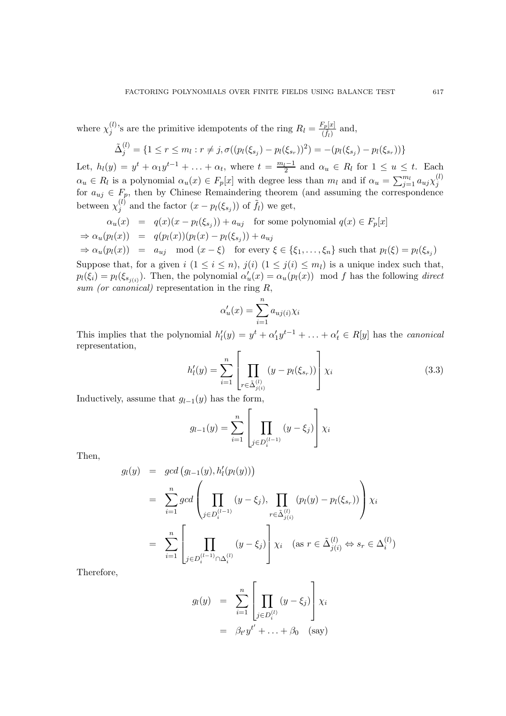where  $\chi_i^{(l)}$  $j^{(l)}$ 's are the primitive idempotents of the ring  $R_l = \frac{F_p[x]}{(\tilde{t}_l)}$  $\frac{\partial [r]_i}{\partial f_l}$  and,

$$
\tilde{\Delta}_{j}^{(l)} = \{1 \leq r \leq m_{l} : r \neq j, \sigma((p_{l}(\xi_{s_{j}}) - p_{l}(\xi_{s_{r}}))^{2}) = -(p_{l}(\xi_{s_{j}}) - p_{l}(\xi_{s_{r}}))\}
$$

Let,  $h_l(y) = y^t + \alpha_1 y^{t-1} + \ldots + \alpha_t$ , where  $t = \frac{m_l-1}{2}$  and  $\alpha_u \in R_l$  for  $1 \le u \le t$ . Each  $\alpha_u \in R_l$  is a polynomial  $\alpha_u(x) \in F_p[x]$  with degree less than  $m_l$  and if  $\alpha_u = \sum_{j=1}^{m_l} a_{uj} \chi_j^{(l)}$ j for  $a_{uj} \in F_p$ , then by Chinese Remaindering theorem (and assuming the correspondence between  $\chi_i^{(l)}$  $j^{(l)}$  and the factor  $(x - p_l(\xi_{s_j}))$  of  $\tilde{f}_l$ ) we get,

$$
\alpha_u(x) = q(x)(x - p_l(\xi_{s_j})) + a_{uj} \text{ for some polynomial } q(x) \in F_p[x]
$$
  
\n
$$
\Rightarrow \alpha_u(p_l(x)) = q(p_l(x))(p_l(x) - p_l(\xi_{s_j})) + a_{uj}
$$

$$
\Rightarrow \alpha_u(p_l(x)) = a_{uj} \mod (x - \xi) \text{ for every } \xi \in \{\xi_1, \dots, \xi_n\} \text{ such that } p_l(\xi) = p_l(\xi_{s_j})
$$

Suppose that, for a given  $i$   $(1 \leq i \leq n)$ ,  $j(i)$   $(1 \leq j(i) \leq m_l)$  is a unique index such that,  $p_l(\xi_i) = p_l(\xi_{s_{j(i)}})$ . Then, the polynomial  $\alpha'_u(x) = \alpha_u(p_l(x))$  mod f has the following direct sum (or canonical) representation in the ring  $R$ ,

$$
\alpha'_u(x) = \sum_{i=1}^n a_{uj(i)} \chi_i
$$

This implies that the polynomial  $h'_l(y) = y^t + \alpha'_1 y^{t-1} + \ldots + \alpha'_t \in R[y]$  has the *canonical* representation,

$$
h'_{l}(y) = \sum_{i=1}^{n} \left[ \prod_{r \in \tilde{\Delta}_{j(i)}^{(l)}} (y - p_{l}(\xi_{s_r})) \right] \chi_{i}
$$
\n
$$
(3.3)
$$
\n
$$
(4.1)
$$
 has the form

Inductively, assume that  $g_{l-1}(y)$  has the form,

$$
g_{l-1}(y) = \sum_{i=1}^{n} \left[ \prod_{j \in D_{i}^{(l-1)}} (y - \xi_{j}) \right] \chi_{i}
$$

Then,

$$
g_l(y) = \gcd(g_{l-1}(y), h'_l(p_l(y)))
$$
  
=  $\sum_{i=1}^n \gcd\left(\prod_{j \in D_i^{(l-1)}} (y - \xi_j), \prod_{r \in \tilde{\Delta}_{j(i)}^{(l)}} (p_l(y) - p_l(\xi_{s_r}))\right) \chi_i$   
=  $\sum_{i=1}^n \left[\prod_{j \in D_i^{(l-1)} \cap \Delta_i^{(l)}} (y - \xi_j)\right] \chi_i \quad (\text{as } r \in \tilde{\Delta}_{j(i)}^{(l)} \Leftrightarrow s_r \in \Delta_i^{(l)})$ 

Therefore,

$$
g_l(y) = \sum_{i=1}^n \left[ \prod_{j \in D_i^{(l)}} (y - \xi_j) \right] \chi_i
$$
  
=  $\beta_{t'} y^{t'} + \dots + \beta_0$  (say)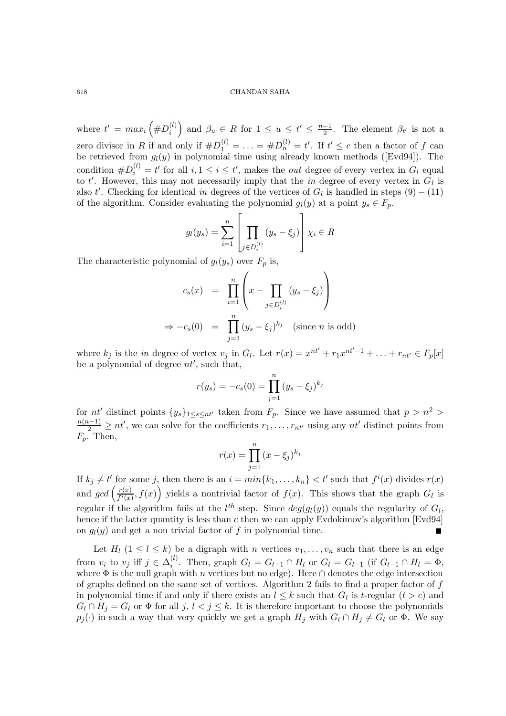where  $t' = max_i \left( \#D_i^{(l)} \right)$  $\binom{l}{i}$  and  $\beta_u \in R$  for  $1 \le u \le t' \le \frac{n-1}{2}$ . The element  $\beta_{t'}$  is not a zero divisor in R if and only if  $\#D_1^{(l)} = \ldots = \#D_n^{(l)} = t'$ . If  $t' \le c$  then a factor of f can be retrieved from  $g_l(y)$  in polynomial time using already known methods ([Evd94]). The condition  $\#D_i^{(l)} = t'$  for all  $i, 1 \le i \le t'$ , makes the *out* degree of every vertex in  $G_l$  equal to t'. However, this may not necessarily imply that the in degree of every vertex in  $G_l$  is also t'. Checking for identical in degrees of the vertices of  $G_l$  is handled in steps  $(9) - (11)$ of the algorithm. Consider evaluating the polynomial  $g_l(y)$  at a point  $y_s \in F_p$ .

$$
g_l(y_s) = \sum_{i=1}^n \left[ \prod_{j \in D_i^{(l)}} (y_s - \xi_j) \right] \chi_i \in R
$$

The characteristic polynomial of  $g_l(y_s)$  over  $F_p$  is,

$$
c_s(x) = \prod_{i=1}^n \left( x - \prod_{j \in D_i^{(l)}} (y_s - \xi_j) \right)
$$
  
\n
$$
\Rightarrow -c_s(0) = \prod_{j=1}^n (y_s - \xi_j)^{k_j} \quad \text{(since } n \text{ is odd)}
$$

where  $k_j$  is the *in* degree of vertex  $v_j$  in  $G_l$ . Let  $r(x) = x^{nt'} + r_1x^{nt'-1} + \ldots + r_{nt'} \in F_p[x]$ be a polynomial of degree  $nt'$ , such that,

$$
r(y_s) = -c_s(0) = \prod_{j=1}^{n} (y_s - \xi_j)^{k_j}
$$

for nt' distinct points  $\{y_s\}_{1\leq s\leq nt'}$  taken from  $F_p$ . Since we have assumed that  $p > n^2 >$  $\frac{n(n-1)}{2} \ge nt'$ , we can solve for the coefficients  $r_1, \ldots, r_{nt'}$  using any  $nt'$  distinct points from  $F_p$ . Then,

$$
r(x) = \prod_{j=1}^{n} (x - \xi_j)^{k_j}
$$

If  $k_j \neq t'$  for some j, then there is an  $i = min\{k_1, \ldots, k_n\} < t'$  such that  $f^i(x)$  divides  $r(x)$ and  $gcd\left(\frac{r(x)}{f^i(x)}\right)$  $\frac{r(x)}{f'(x)}$ ,  $f(x)$  yields a nontrivial factor of  $f(x)$ . This shows that the graph  $G_l$  is regular if the algorithm fails at the  $l^{th}$  step. Since  $deg(g_l(y))$  equals the regularity of  $G_l$ , hence if the latter quantity is less than c then we can apply Evdokimov's algorithm [Evd94] on  $g_l(y)$  and get a non trivial factor of f in polynomial time.

Let  $H_l$   $(1 \leq l \leq k)$  be a digraph with n vertices  $v_1, \ldots, v_n$  such that there is an edge from  $v_i$  to  $v_j$  iff  $j \in \Delta_i^{(l)}$ <sup>(i)</sup>. Then, graph  $G_l = G_{l-1} \cap H_l$  or  $G_l = G_{l-1}$  (if  $G_{l-1} \cap H_l = \Phi$ , where  $\Phi$  is the null graph with n vertices but no edge). Here  $\cap$  denotes the edge intersection of graphs defined on the same set of vertices. Algorithm 2 fails to find a proper factor of  $f$ in polynomial time if and only if there exists an  $l \leq k$  such that  $G_l$  is t-regular  $(t > c)$  and  $G_l \cap H_j = G_l$  or  $\Phi$  for all  $j, l < j \leq k$ . It is therefore important to choose the polynomials  $p_j(\cdot)$  in such a way that very quickly we get a graph  $H_j$  with  $G_l \cap H_j \neq G_l$  or  $\Phi$ . We say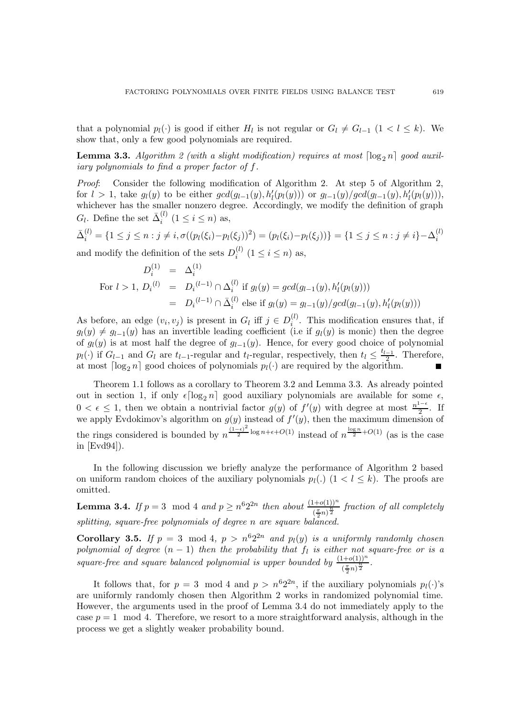that a polynomial  $p_l(\cdot)$  is good if either  $H_l$  is not regular or  $G_l \neq G_{l-1}$   $(1 \lt l \leq k)$ . We show that, only a few good polynomials are required.

**Lemma 3.3.** Algorithm 2 (with a slight modification) requires at most  $\lceil \log_2 n \rceil$  good auxiliary polynomials to find a proper factor of f.

Proof: Consider the following modification of Algorithm 2. At step 5 of Algorithm 2, for  $l > 1$ , take  $g_l(y)$  to be either  $gcd(g_{l-1}(y), h'_l(p_l(y)))$  or  $g_{l-1}(y)/gcd(g_{l-1}(y), h'_l(p_l(y))),$ whichever has the smaller nonzero degree. Accordingly, we modify the definition of graph  $G_l$ . Define the set  $\bar{\Delta}_i^{(l)}$  $i^{(i)}$   $(1 \le i \le n)$  as,

$$
\bar{\Delta}_i^{(l)} = \{1 \le j \le n : j \ne i, \sigma((p_l(\xi_i) - p_l(\xi_j))^2) = (p_l(\xi_i) - p_l(\xi_j))\} = \{1 \le j \le n : j \ne i\} - \Delta_i^{(l)}
$$

and modify the definition of the sets  $D_i^{(l)}$  $i^{(i)}$   $(1 \le i \le n)$  as,

$$
D_i^{(1)} = \Delta_i^{(1)}
$$
  
For  $l > 1$ ,  $D_i^{(l)} = D_i^{(l-1)} \cap \Delta_i^{(l)}$  if  $g_l(y) = \gcd(g_{l-1}(y), h'_l(p_l(y)))$   

$$
= D_i^{(l-1)} \cap \bar{\Delta}_i^{(l)}
$$
 else if  $g_l(y) = g_{l-1}(y) / \gcd(g_{l-1}(y), h'_l(p_l(y)))$ 

As before, an edge  $(v_i, v_j)$  is present in  $G_l$  iff  $j \in D_i^{(l)}$  $i^{(l)}$ . This modification ensures that, if  $g_l(y) \neq g_{l-1}(y)$  has an invertible leading coefficient (i.e if  $g_l(y)$  is monic) then the degree of  $g_l(y)$  is at most half the degree of  $g_{l-1}(y)$ . Hence, for every good choice of polynomial  $p_l(\cdot)$  if  $G_{l-1}$  and  $G_l$  are  $t_{l-1}$ -regular and  $t_l$ -regular, respectively, then  $t_l \leq \frac{t_{l-1}}{2}$  $\frac{-1}{2}$ . Therefore, at most  $\lceil \log_2 n \rceil$  good choices of polynomials  $p_l(\cdot)$  are required by the algorithm.

Theorem 1.1 follows as a corollary to Theorem 3.2 and Lemma 3.3. As already pointed out in section 1, if only  $\epsilon \lceil \log_2 n \rceil$  good auxiliary polynomials are available for some  $\epsilon$ ,  $0 < \epsilon \leq 1$ , then we obtain a nontrivial factor  $g(y)$  of  $f'(y)$  with degree at most  $\frac{n^{1-\epsilon}}{2}$  $\frac{1}{2}$ . If we apply Evdokimov's algorithm on  $g(y)$  instead of  $f'(y)$ , then the maximum dimension of the rings considered is bounded by  $n^{\frac{(1-\epsilon)^2}{2}}$  $\frac{1}{2} \log n + \epsilon + O(1)$  instead of  $n^{\frac{\log n}{2} + O(1)}$  (as is the case in [Evd94]).

In the following discussion we briefly analyze the performance of Algorithm 2 based on uniform random choices of the auxiliary polynomials  $p_l(.)$  ( $1 < l \le k$ ). The proofs are omitted.

**Lemma 3.4.** If  $p = 3 \mod 4$  and  $p \ge n^6 2^{2n}$  then about  $\frac{(1+o(1))^n}{(\frac{\pi}{2}n)^{\frac{n}{2}}}$  fraction of all completely splitting, square-free polynomials of degree n are square balanced.

**Corollary 3.5.** If  $p = 3 \mod 4$ ,  $p > n^6 2^{2n}$  and  $p_l(y)$  is a uniformly randomly chosen polynomial of degree  $(n-1)$  then the probability that  $f_l$  is either not square-free or is a square-free and square balanced polynomial is upper bounded by  $\frac{(1+o(1))^n}{(\frac{\pi}{2}n)^{\frac{n}{2}}}$ .

It follows that, for  $p = 3 \mod 4$  and  $p > n^6 2^{2n}$ , if the auxiliary polynomials  $p_l(\cdot)$ 's are uniformly randomly chosen then Algorithm 2 works in randomized polynomial time. However, the arguments used in the proof of Lemma 3.4 do not immediately apply to the case  $p = 1 \mod 4$ . Therefore, we resort to a more straightforward analysis, although in the process we get a slightly weaker probability bound.